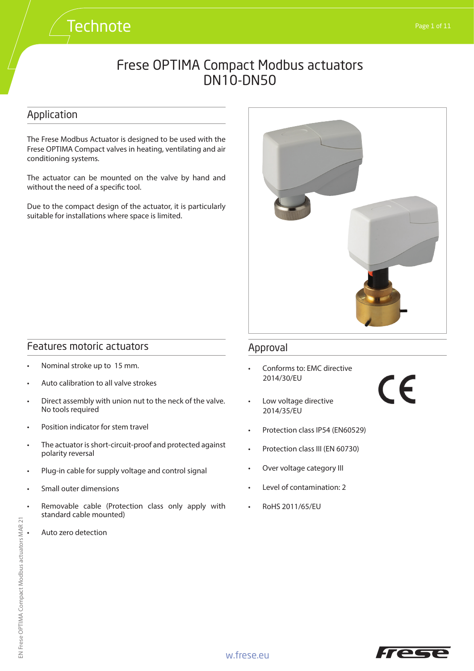### Application

The Frese Modbus Actuator is designed to be used with the Frese OPTIMA Compact valves in heating, ventilating and air conditioning systems.

**Technote** 

The actuator can be mounted on the valve by hand and without the need of a specific tool.

Due to the compact design of the actuator, it is particularly suitable for installations where space is limited.



### Features motoric actuators

- Nominal stroke up to 15 mm.
- Auto calibration to all valve strokes
- Direct assembly with union nut to the neck of the valve. No tools required
- Position indicator for stem travel
- The actuator is short-circuit-proof and protected against polarity reversal
- Plug-in cable for supply voltage and control signal
- Small outer dimensions
- Removable cable (Protection class only apply with standard cable mounted)
- Auto zero detection

### Approval

- Conforms to: EMC directive 2014/30/EU
- Low voltage directive 2014/35/EU
- Protection class IP54 (EN60529)
- Protection class III (EN 60730)
- Over voltage category III
- Level of contamination: 2
- RoHS 2011/65/EU



CE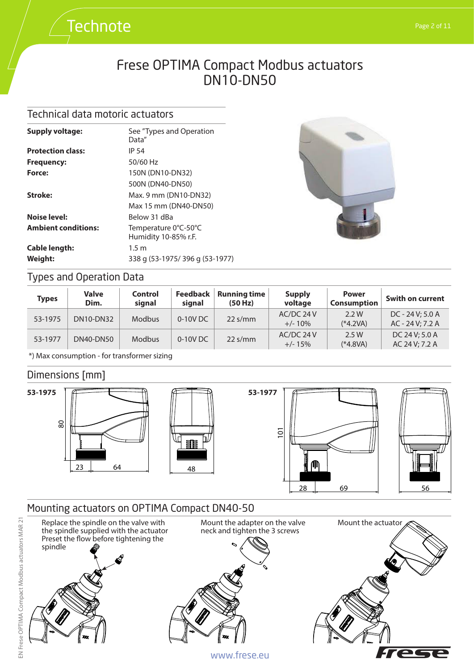### Technical data motoric actuators

**Technote** 

| <b>Supply voltage:</b>     | See "Types and Operation<br>Data"            |
|----------------------------|----------------------------------------------|
| <b>Protection class:</b>   | IP 54                                        |
| <b>Frequency:</b>          | 50/60 Hz                                     |
| Force:                     | 150N (DN10-DN32)                             |
|                            | 500N (DN40-DN50)                             |
| Stroke:                    | Max. 9 mm (DN10-DN32)                        |
|                            | Max 15 mm (DN40-DN50)                        |
| Noise level:               | Below 31 dBa                                 |
| <b>Ambient conditions:</b> | Temperature 0°C-50°C<br>Humidity 10-85% r.F. |
| <b>Cable length:</b>       | $1.5 \text{ m}$                              |
| Weight:                    | 338 g (53-1975/396 g (53-1977)               |



## Types and Operation Data

| Types   | <b>Valve</b><br>Dim. | Control<br>sianal | <b>Feedback</b><br>signal | <b>Running time</b><br>(50 Hz)  | <b>Supply</b><br>voltage | <b>Power</b><br><b>Consumption</b> | Swith on current                       |
|---------|----------------------|-------------------|---------------------------|---------------------------------|--------------------------|------------------------------------|----------------------------------------|
| 53-1975 | DN10-DN32            | <b>Modbus</b>     | 0-10V DC                  | $22 \frac{\text{s}}{\text{mm}}$ | AC/DC 24 V<br>$+/- 10\%$ | 2.2W<br>$(*4.2VA)$                 | $DC - 24 V: 5.0 A$<br>AC - 24 V; 7.2 A |
| 53-1977 | DN40-DN50            | <b>Modbus</b>     | 0-10V DC                  | $22 \frac{\text{s}}{\text{mm}}$ | AC/DC 24 V<br>$+/- 15%$  | 2.5 W<br>$(*4.8VA)$                | DC 24 V: 5.0 A<br>AC 24 V; 7.2 A       |

\*) Max consumption - for transformer sizing

### Dimensions [mm]



### Mounting actuators on OPTIMA Compact DN40-50

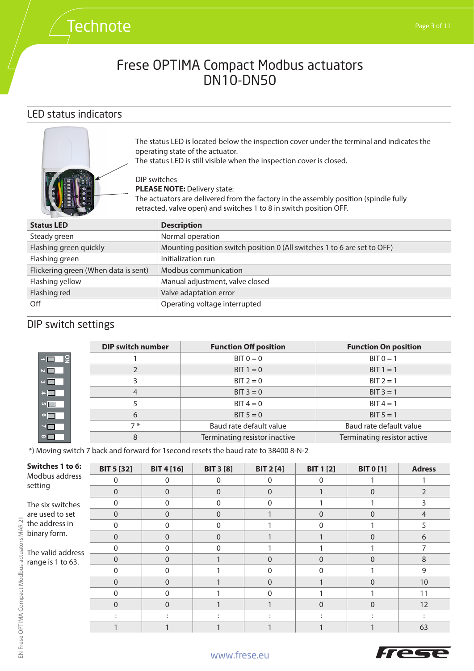### LED status indicators

**Technote** 



The status LED is located below the inspection cover under the terminal and indicates the operating state of the actuator.

The status LED is still visible when the inspection cover is closed.

**PLEASE NOTE: Delivery state:** The actuators are delivered from the factory in the assembly position (spindle fully retracted, valve open) and switches 1 to 8 in switch position OFF.

| <b>Description</b>                                                       |
|--------------------------------------------------------------------------|
| Normal operation                                                         |
| Mounting position switch position 0 (All switches 1 to 6 are set to OFF) |
| Initialization run                                                       |
| Modbus communication                                                     |
| Manual adjustment, valve closed                                          |
| Valve adaptation error                                                   |
| Operating voltage interrupted                                            |
|                                                                          |

## DIP switch settings

|                           | <b>DIP switch number</b> | <b>Function Off position</b>  | <b>Function On position</b> |
|---------------------------|--------------------------|-------------------------------|-----------------------------|
| $\neg \Box \Box$          |                          | $BIT 0 = 0$                   | $BIT 0 = 1$                 |
| $\overline{\phantom{0}}$  |                          | BIT $1 = 0$                   | $BIT 1 = 1$                 |
| $\sim$ $\blacksquare$     |                          | $BIT 2 = 0$                   | $BIT 2 = 1$                 |
| $\blacksquare$            |                          | $BIT 3 = 0$                   | $BIT 3 = 1$                 |
| $\circ \Box$              |                          | $BIT 4 = 0$                   | $BIT 4 = 1$                 |
| $\circ \blacksquare$      | 6                        | $BIT 5 = 0$                   | $BIT 5 = 1$                 |
| $\overline{\blacksquare}$ | $7*$                     | Baud rate default value       | Baud rate default value     |
| $\infty$                  | 8                        | Terminating resistor inactive | Terminating resistor active |

\*) Moving switch 7 back and forward for 1second resets the baud rate to 38400 8-N-2

DIP switches

| Switches 1 to 6:          | <b>BIT 5 [32]</b> | <b>BIT 4 [16]</b> | <b>BIT 3 [8]</b> | <b>BIT 2 [4]</b> | <b>BIT 1 [2]</b> | <b>BIT 0 [1]</b> | <b>Adress</b> |
|---------------------------|-------------------|-------------------|------------------|------------------|------------------|------------------|---------------|
| Modbus address<br>setting | 0                 | $\Omega$          | 0                |                  |                  |                  |               |
|                           | $\Omega$          | $\Omega$          | $\Omega$         | $\Omega$         |                  | 0                |               |
| The six switches          | <sup>0</sup>      | $\mathbf{0}$      | $\Omega$         | ∩                |                  |                  |               |
| are used to set           | $\Omega$          | $\Omega$          | $\Omega$         |                  | $\Omega$         | 0                | 4             |
| the address in            | $\Omega$          | $\Omega$          | $\Omega$         |                  |                  |                  |               |
| binary form.              | $\Omega$          | $\Omega$          | $\Omega$         |                  |                  | 0                | 6             |
| The valid address         | $\Omega$          | $\Omega$          | $\Omega$         |                  |                  |                  |               |
| range is 1 to 63.         | $\Omega$          | $\Omega$          |                  | $\Omega$         | $\Omega$         | $\Omega$         | 8             |
|                           | 0                 | $\Omega$          |                  | <sup>0</sup>     | <sup>0</sup>     |                  | 9             |
|                           | $\Omega$          | $\Omega$          |                  | $\Omega$         |                  | $\Omega$         | 10            |
|                           | <sup>0</sup>      | $\Omega$          |                  | n                |                  |                  | 11            |
|                           | $\Omega$          | $\Omega$          |                  |                  | $\Omega$         | $\Omega$         | 12            |
|                           |                   |                   |                  |                  |                  |                  |               |
|                           |                   |                   |                  |                  |                  |                  | 63            |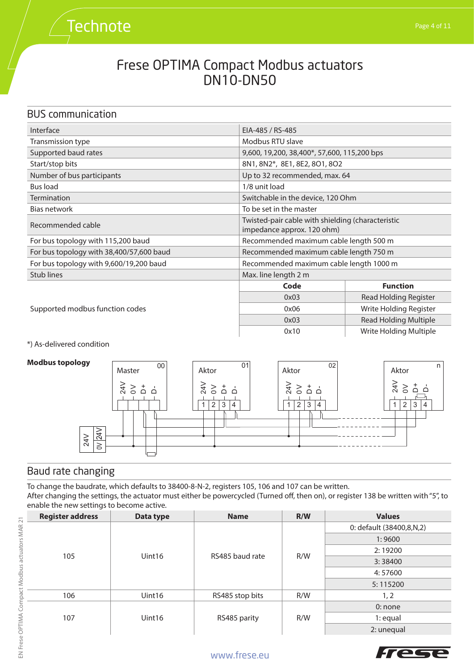### BUS communication

**Technote** 

| Interface                                | EIA-485 / RS-485                                                                |                        |  |  |
|------------------------------------------|---------------------------------------------------------------------------------|------------------------|--|--|
| Transmission type                        | Modbus RTU slave                                                                |                        |  |  |
| Supported baud rates                     | 9,600, 19,200, 38,400*, 57,600, 115,200 bps                                     |                        |  |  |
| Start/stop bits                          | 8N1, 8N2*, 8E1, 8E2, 8O1, 8O2                                                   |                        |  |  |
| Number of bus participants               | Up to 32 recommended, max. 64                                                   |                        |  |  |
| Bus load                                 | 1/8 unit load                                                                   |                        |  |  |
| Termination                              | Switchable in the device, 120 Ohm                                               |                        |  |  |
| Bias network                             | To be set in the master                                                         |                        |  |  |
| Recommended cable                        | Twisted-pair cable with shielding (characteristic<br>impedance approx. 120 ohm) |                        |  |  |
| For bus topology with 115,200 baud       | Recommended maximum cable length 500 m                                          |                        |  |  |
| For bus topology with 38,400/57,600 baud | Recommended maximum cable length 750 m                                          |                        |  |  |
| For bus topology with 9,600/19,200 baud  | Recommended maximum cable length 1000 m                                         |                        |  |  |
| Stub lines                               | Max. line length 2 m                                                            |                        |  |  |
|                                          | Code                                                                            | <b>Function</b>        |  |  |
|                                          | 0x03                                                                            | Read Holding Register  |  |  |
| Supported modbus function codes          | Write Holding Register<br>0x06                                                  |                        |  |  |
|                                          | <b>Read Holding Multiple</b><br>0x03                                            |                        |  |  |
|                                          | 0x10                                                                            | Write Holding Multiple |  |  |

\*) As-delivered condition

#### **Modbus topology**



### Baud rate changing

To change the baudrate, which defaults to 38400-8-N-2, registers 105, 106 and 107 can be written. After changing the settings, the actuator must either be powercycled (Turned off, then on), or register 138 be written with "5", to enable the new settings to become active.

| <b>Register address</b> | Data type | <b>Name</b>     | R/W | <b>Values</b>            |
|-------------------------|-----------|-----------------|-----|--------------------------|
|                         |           |                 |     | 0: default (38400,8,N,2) |
|                         |           |                 |     | 1:9600                   |
| 105                     |           | RS485 baud rate |     | 2:19200                  |
|                         | Uint16    |                 | R/W | 3:38400                  |
|                         |           |                 |     | 4:57600                  |
|                         |           |                 |     | 5:115200                 |
| 106                     | Uint16    | RS485 stop bits | R/W | 1, 2                     |
| 107                     | Uint16    |                 |     | $0:$ none                |
|                         |           | RS485 parity    | R/W | $1:$ equal               |
|                         |           |                 |     | 2: unequal               |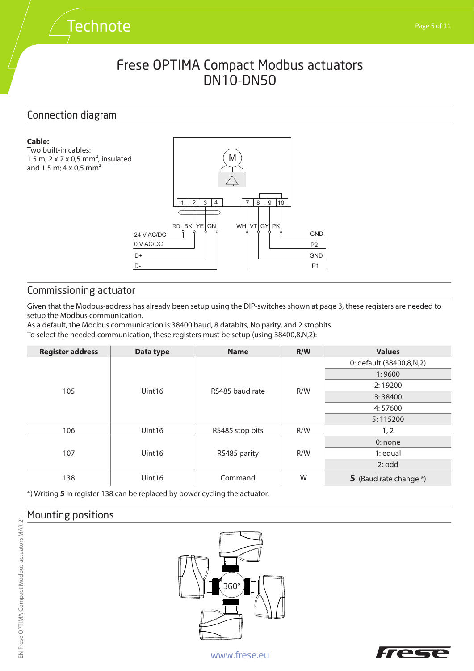### Connection diagram

**Technote** 

#### **Cable:**





### Commissioning actuator

Given that the Modbus-address has already been setup using the DIP-switches shown at page 3, these registers are needed to setup the Modbus communication.

As a default, the Modbus communication is 38400 baud, 8 databits, No parity, and 2 stopbits.

To select the needed communication, these registers must be setup (using 38400,8,N,2):

| <b>Register address</b> | Data type          | <b>Name</b>     | R/W | <b>Values</b>            |
|-------------------------|--------------------|-----------------|-----|--------------------------|
|                         |                    |                 |     | 0: default (38400,8,N,2) |
|                         |                    |                 |     | 1:9600                   |
| 105                     | Uint <sub>16</sub> | RS485 baud rate | R/W | 2:19200                  |
|                         |                    |                 |     | 3:38400                  |
|                         |                    |                 |     | 4:57600                  |
|                         |                    |                 |     | 5:115200                 |
| 106                     | Uint16             | RS485 stop bits | R/W | 1, 2                     |
|                         | Uint16             | RS485 parity    | R/W | 0: none                  |
| 107                     |                    |                 |     | $1:$ equal               |
|                         |                    |                 |     | 2:odd                    |
| 138                     | Uint16             | Command         | W   | 5 (Baud rate change *)   |

\*) Writing **5** in register 138 can be replaced by power cycling the actuator.

### Mounting positions





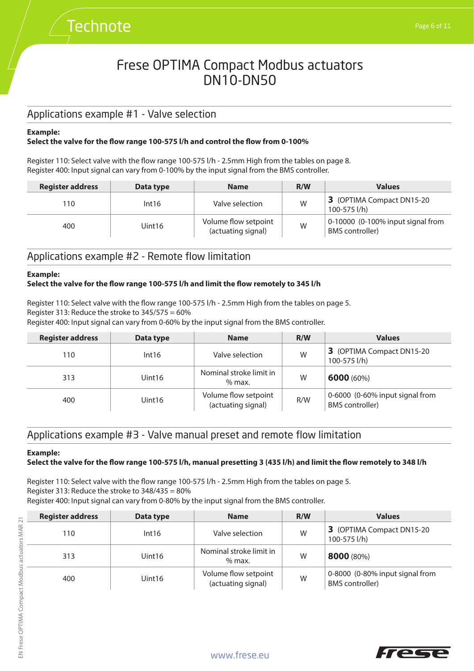## Applications example #1 - Valve selection

**Technote** 

#### **Example:**

#### **Select the valve for the flow range 100-575 l/h and control the flow from 0-100%**

Register 110: Select valve with the flow range 100-575 l/h - 2.5mm High from the tables on page 8. Register 400: Input signal can vary from 0-100% by the input signal from the BMS controller.

| <b>Register address</b> | Data type | <b>Name</b>                                | R/W | <b>Values</b>                                               |
|-------------------------|-----------|--------------------------------------------|-----|-------------------------------------------------------------|
| 110                     | Int16     | Valve selection                            | W   | 3 (OPTIMA Compact DN15-20<br>100-575 l/h)                   |
| 400                     | Uint16    | Volume flow setpoint<br>(actuating signal) | W   | 0-10000 (0-100% input signal from<br><b>BMS</b> controller) |

#### Applications example #2 - Remote flow limitation

#### **Example:**

#### **Select the valve for the flow range 100-575 l/h and limit the flow remotely to 345 l/h**

Register 110: Select valve with the flow range 100-575 l/h - 2.5mm High from the tables on page 5. Register 313: Reduce the stroke to  $345/575 = 60\%$ 

Register 400: Input signal can vary from 0-60% by the input signal from the BMS controller.

| <b>Register address</b> | Data type | <b>Name</b>                                | R/W | <b>Values</b>                                             |
|-------------------------|-----------|--------------------------------------------|-----|-----------------------------------------------------------|
| 110                     | Int16     | Valve selection                            | W   | 3 (OPTIMA Compact DN15-20<br>100-575 l/h)                 |
| 313                     | Uint16    | Nominal stroke limit in<br>$%$ max.        | W   | 6000(60%)                                                 |
| 400                     | Uint16    | Volume flow setpoint<br>(actuating signal) | R/W | 0-6000 (0-60% input signal from<br><b>BMS</b> controller) |

### Applications example #3 - Valve manual preset and remote flow limitation

#### **Example:**

#### **Select the valve for the flow range 100-575 l/h, manual presetting 3 (435 l/h) and limit the flow remotely to 348 l/h**

Register 110: Select valve with the flow range 100-575 l/h - 2.5mm High from the tables on page 5. Register 313: Reduce the stroke to 348/435 = 80% Register 400: Input signal can vary from 0-80% by the input signal from the BMS controller.

| <b>Register address</b> | Data type | <b>Name</b>                                | R/W | <b>Values</b>                                             |
|-------------------------|-----------|--------------------------------------------|-----|-----------------------------------------------------------|
| 110                     | Int16     | Valve selection                            | W   | 3 (OPTIMA Compact DN15-20<br>100-575 l/h)                 |
| 313                     | Uint16    | Nominal stroke limit in<br>$%$ max.        | W   | 8000 (80%)                                                |
| 400                     | Uint16    | Volume flow setpoint<br>(actuating signal) | W   | 0-8000 (0-80% input signal from<br><b>BMS</b> controller) |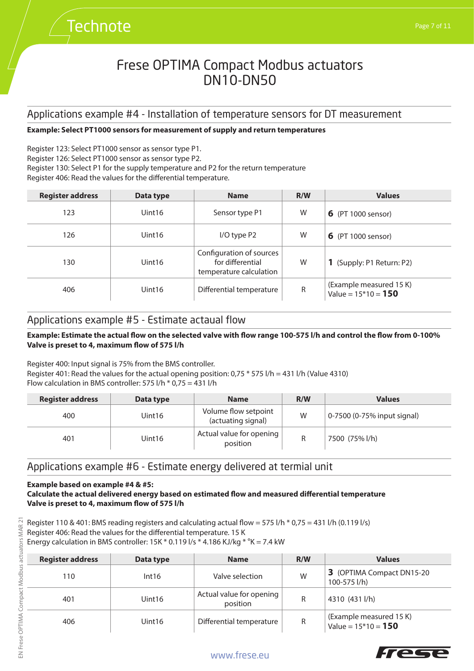### Applications example #4 - Installation of temperature sensors for DT measurement

#### **Example: Select PT1000 sensors for measurement of supply and return temperatures**

Register 123: Select PT1000 sensor as sensor type P1. Register 126: Select PT1000 sensor as sensor type P2. Register 130: Select P1 for the supply temperature and P2 for the return temperature Register 406: Read the values for the differential temperature.

| <b>Register address</b> | Data type          | <b>Name</b>                                                             | R/W | <b>Values</b>                                    |
|-------------------------|--------------------|-------------------------------------------------------------------------|-----|--------------------------------------------------|
| 123                     | Uint <sub>16</sub> | Sensor type P1                                                          | W   | <b>6</b> (PT 1000 sensor)                        |
| 126                     | Uint <sub>16</sub> | $I/O$ type $P2$                                                         | W   | <b>6</b> (PT 1000 sensor)                        |
| 130                     | Uint <sub>16</sub> | Configuration of sources<br>for differential<br>temperature calculation | W   | 1 (Supply: P1 Return: P2)                        |
| 406                     | Uint <sub>16</sub> | Differential temperature                                                | R   | (Example measured 15 K)<br>Value = $15*10 = 150$ |

#### Applications example #5 - Estimate actaual flow

**Technote** 

#### **Example: Estimate the actual flow on the selected valve with flow range 100-575 l/h and control the flow from 0-100% Valve is preset to 4, maximum flow of 575 l/h**

Register 400: Input signal is 75% from the BMS controller. Register 401: Read the values for the actual opening position:  $0.75 * 575$  I/h = 431 I/h (Value 4310) Flow calculation in BMS controller: 575 l/h \* 0,75 = 431 l/h

| <b>Register address</b> | Data type | <b>Name</b>                                | R/W | <b>Values</b>               |
|-------------------------|-----------|--------------------------------------------|-----|-----------------------------|
| 400                     | Uint16    | Volume flow setpoint<br>(actuating signal) | W   | 0-7500 (0-75% input signal) |
| 401                     | Uint16    | Actual value for opening<br>position       |     | 7500 (75% l/h)              |

### Applications example #6 - Estimate energy delivered at termial unit

#### **Example based on example #4 & #5:**

#### **Calculate the actual delivered energy based on estimated flow and measured differential temperature Valve is preset to 4, maximum flow of 575 l/h**

Register 110 & 401: BMS reading registers and calculating actual flow = 575 l/h  $*$  0,75 = 431 l/h (0.119 l/s) Register 406: Read the values for the differential temperature. 15 K Energy calculation in BMS controller: 15K  $*$  0.119 l/s  $*$  4.186 KJ/kg  $*$  °K = 7.4 kW

| <b>Register address</b> | Data type          | <b>Name</b>                          | R/W | Values                                           |
|-------------------------|--------------------|--------------------------------------|-----|--------------------------------------------------|
| 110                     | Int16              | Valve selection                      | W   | 3 (OPTIMA Compact DN15-20<br>100-575 l/h)        |
| 401                     | Uint <sub>16</sub> | Actual value for opening<br>position | R   | 4310 (431 l/h)                                   |
| 406                     | Uint <sub>16</sub> | Differential temperature             | R   | (Example measured 15 K)<br>Value = $15*10 = 150$ |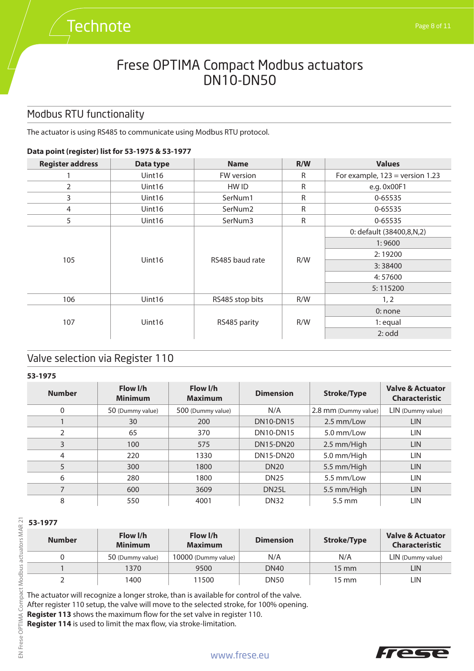# **Technote**

## Frese OPTIMA Compact Modbus actuators DN10-DN50

## Modbus RTU functionality

The actuator is using RS485 to communicate using Modbus RTU protocol.

#### **Data point (register) list for 53-1975 & 53-1977**

| <b>Register address</b> | Data type          | <b>Name</b>            | R/W     | <b>Values</b>                     |
|-------------------------|--------------------|------------------------|---------|-----------------------------------|
|                         | Uint16             | FW version             | R       | For example, $123$ = version 1.23 |
| 2                       | Uint <sub>16</sub> | HW ID                  | R       | e.g. 0x00F1                       |
| 3                       | Uint16             | SerNum1                | R       | 0-65535                           |
| 4                       | Uint16             | SerNum <sub>2</sub>    | R       | 0-65535                           |
| 5                       | Uint16             | SerNum3                | R       | 0-65535                           |
|                         | Uint16             | RS485 baud rate<br>R/W |         | 0: default (38400,8,N,2)          |
|                         |                    |                        |         | 1:9600                            |
|                         |                    |                        |         | 2:19200                           |
| 105                     |                    |                        |         | 3:38400                           |
|                         |                    |                        | 4:57600 |                                   |
|                         |                    |                        |         | 5:115200                          |
| 106                     | Uint16             | RS485 stop bits        | R/W     | 1, 2                              |
| 107                     | Uint16             | RS485 parity           | R/W     | $0:$ none                         |
|                         |                    |                        |         | $1:$ equal                        |
|                         |                    |                        |         | 2:odd                             |

### Valve selection via Register 110

**53-1975**

| <b>Number</b> | Flow I/h<br><b>Minimum</b> | Flow I/h<br><b>Maximum</b> | <b>Dimension</b>   | <b>Stroke/Type</b>   | <b>Valve &amp; Actuator</b><br><b>Characteristic</b> |
|---------------|----------------------------|----------------------------|--------------------|----------------------|------------------------------------------------------|
| 0             | 50 (Dummy value)           | 500 (Dummy value)          | N/A                | 2.8 mm (Dummy value) | LIN (Dummy value)                                    |
|               | 30                         | 200                        | <b>DN10-DN15</b>   | 2.5 mm/Low           | LIN                                                  |
| $\mathcal{P}$ | 65                         | 370                        | <b>DN10-DN15</b>   | 5.0 mm/Low           | LIN                                                  |
| 3             | 100                        | 575                        | <b>DN15-DN20</b>   | 2.5 mm/High          | <b>LIN</b>                                           |
| 4             | 220                        | 1330                       | DN15-DN20          | 5.0 mm/High          | LIN                                                  |
| 5             | 300                        | 1800                       | <b>DN20</b>        | 5.5 mm/High          | <b>LIN</b>                                           |
| 6             | 280                        | 1800                       | <b>DN25</b>        | 5.5 mm/Low           | LIN                                                  |
| ⇁             | 600                        | 3609                       | DN <sub>25</sub> L | 5.5 mm/High          | <b>LIN</b>                                           |
| 8             | 550                        | 4001                       | <b>DN32</b>        | $5.5 \text{ mm}$     | LIN                                                  |

### **53-1977**

| <b>Number</b> | Flow I/h<br><b>Minimum</b> | Flow I/h<br><b>Maximum</b> | <b>Dimension</b> | <b>Stroke/Type</b> | <b>Valve &amp; Actuator</b><br><b>Characteristic</b> |
|---------------|----------------------------|----------------------------|------------------|--------------------|------------------------------------------------------|
|               | 50 (Dummy value)           | 10000 (Dummy value)        | N/A              | N/A                | LIN (Dummy value)                                    |
|               | 1370                       | 9500                       | <b>DN40</b>      | $15 \text{ mm}$    | LIN                                                  |
|               | 1400                       | 1500                       | <b>DN50</b>      | 15 mm              | LIN                                                  |

The actuator will recognize a longer stroke, than is available for control of the valve. After register 110 setup, the valve will move to the selected stroke, for 100% opening. **Register 113** shows the maximum flow for the set valve in register 110. **Register 114** is used to limit the max flow, via stroke-limitation.

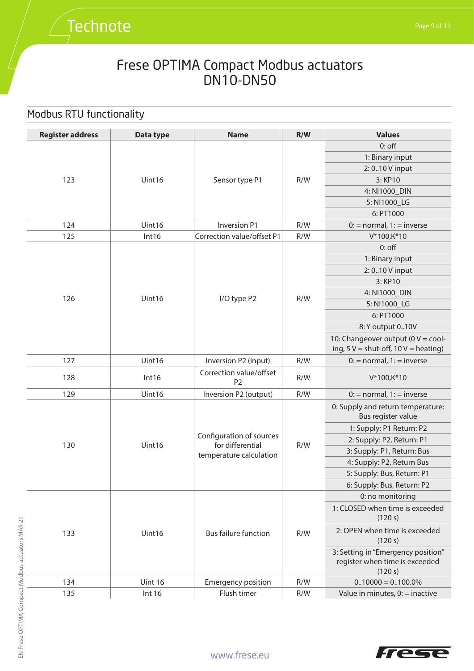# **Technote**

## Frese OPTIMA Compact Modbus actuators DN10-DN50

## Modbus RTU functionality

| <b>Register address</b> | Data type | <b>Name</b>                                  | R/W | <b>Values</b>                                                                          |
|-------------------------|-----------|----------------------------------------------|-----|----------------------------------------------------------------------------------------|
|                         |           |                                              |     | $0:$ off                                                                               |
|                         |           |                                              |     | 1: Binary input                                                                        |
|                         |           |                                              |     | 2:010 V input                                                                          |
| 123                     | Uint16    | Sensor type P1                               | R/W | 3: KP10                                                                                |
|                         |           |                                              |     | 4: NI1000_DIN                                                                          |
|                         |           |                                              |     | 5: NI1000_LG                                                                           |
|                         |           |                                              |     | 6: PT1000                                                                              |
| 124                     | Uint16    | <b>Inversion P1</b>                          | R/W | $0$ : = normal, 1: = inverse                                                           |
| 125                     | Int16     | Correction value/offset P1                   | R/W | V*100,K*10                                                                             |
|                         |           |                                              |     | $0:$ off                                                                               |
|                         |           |                                              |     | 1: Binary input                                                                        |
|                         |           |                                              |     | 2:010 V input                                                                          |
|                         |           |                                              |     | 3: KP10                                                                                |
|                         |           |                                              | R/W | 4: NI1000_DIN                                                                          |
| 126                     | Uint16    | I/O type P2                                  |     | 5: NI1000_LG                                                                           |
|                         |           |                                              |     | 6: PT1000                                                                              |
|                         |           |                                              |     | 8: Y output 010V                                                                       |
|                         |           |                                              |     | 10: Changeover output (0 $V = \text{cool}$ -<br>ing, $5V =$ shut-off, $10V =$ heating) |
| 127                     | Uint16    | Inversion P2 (input)                         | R/W | $0$ : = normal, 1: = inverse                                                           |
| 128                     | Int16     | Correction value/offset<br>P <sub>2</sub>    | R/W | V*100,K*10                                                                             |
| 129                     | Uint16    | Inversion P2 (output)                        | R/W | $0:$ = normal, $1:$ = inverse                                                          |
|                         |           |                                              |     | 0: Supply and return temperature:<br>Bus register value                                |
|                         |           |                                              |     | 1: Supply: P1 Return: P2                                                               |
|                         |           | Configuration of sources<br>for differential |     | 2: Supply: P2, Return: P1                                                              |
| 130                     | Uint16    | temperature calculation                      | R/W | 3: Supply: P1, Return: Bus                                                             |
|                         |           |                                              |     | 4: Supply: P2, Return Bus                                                              |
|                         |           |                                              |     | 5: Supply: Bus, Return: P1                                                             |
|                         |           |                                              |     | 6: Supply: Bus, Return: P2                                                             |
|                         |           |                                              |     | 0: no monitoring                                                                       |
|                         |           | <b>Bus failure function</b>                  | R/W | 1: CLOSED when time is exceeded<br>(120 s)                                             |
| 133                     | Uint16    |                                              |     | 2: OPEN when time is exceeded<br>(120 s)                                               |
|                         |           |                                              |     | 3: Setting in "Emergency position"<br>register when time is exceeded<br>(120 s)        |
| 134                     | Uint 16   | <b>Emergency position</b>                    | R/W | $0.10000 = 0.100.0\%$                                                                  |
| 135                     | Int 16    | Flush timer                                  | R/W | Value in minutes, $0$ : = inactive                                                     |

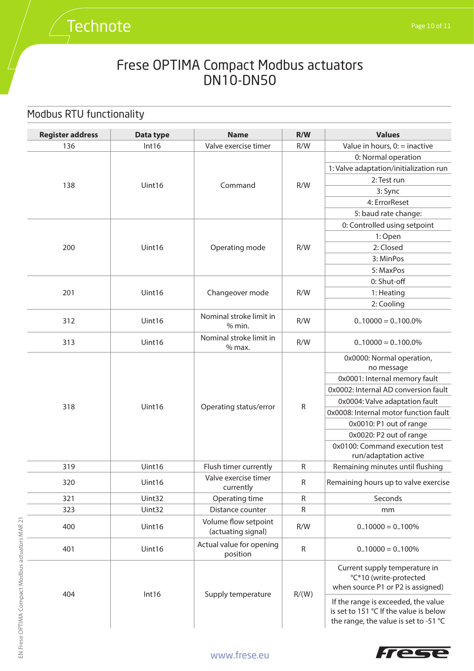## Modbus RTU functionality

**Technote** 

| <b>Register address</b> | Data type | <b>Name</b>                                | R/W          | <b>Values</b>                                                                                                          |
|-------------------------|-----------|--------------------------------------------|--------------|------------------------------------------------------------------------------------------------------------------------|
| 136                     | Int16     | Valve exercise timer                       | R/W          | Value in hours, $0$ : = inactive                                                                                       |
|                         |           |                                            |              | 0: Normal operation                                                                                                    |
|                         |           |                                            |              | 1: Valve adaptation/initialization run                                                                                 |
|                         |           |                                            |              | 2: Test run                                                                                                            |
| 138                     | Uint16    | Command                                    | R/W          | 3: Sync                                                                                                                |
|                         |           |                                            |              | 4: ErrorReset                                                                                                          |
|                         |           |                                            |              | 5: baud rate change:                                                                                                   |
|                         |           |                                            |              | 0: Controlled using setpoint                                                                                           |
|                         |           |                                            |              | 1: Open                                                                                                                |
| 200                     | Uint16    | Operating mode                             | R/W          | 2: Closed                                                                                                              |
|                         |           |                                            |              | 3: MinPos                                                                                                              |
|                         |           |                                            |              | 5: MaxPos                                                                                                              |
|                         |           |                                            |              | 0: Shut-off                                                                                                            |
| 201                     | Uint16    | Changeover mode                            | R/W          | 1: Heating                                                                                                             |
|                         |           |                                            |              | 2: Cooling                                                                                                             |
| 312                     | Uint16    | Nominal stroke limit in<br>% min.          | R/W          | $0.10000 = 0.100.0\%$                                                                                                  |
| 313                     | Uint16    | Nominal stroke limit in<br>$%$ max.        | R/W          | $0.10000 = 0.100.0\%$                                                                                                  |
|                         | Uint16    | Operating status/error                     | ${\sf R}$    | 0x0000: Normal operation,<br>no message                                                                                |
|                         |           |                                            |              | 0x0001: Internal memory fault                                                                                          |
|                         |           |                                            |              | 0x0002: Internal AD conversion fault                                                                                   |
| 318                     |           |                                            |              | 0x0004: Valve adaptation fault                                                                                         |
|                         |           |                                            |              | 0x0008: Internal motor function fault                                                                                  |
|                         |           |                                            |              | 0x0010: P1 out of range                                                                                                |
|                         |           |                                            |              | 0x0020: P2 out of range                                                                                                |
|                         |           |                                            |              | 0x0100: Command execution test                                                                                         |
|                         |           |                                            |              | run/adaptation active                                                                                                  |
| 319                     | Uint16    | Flush timer currently                      | $\mathsf{R}$ | Remaining minutes until flushing                                                                                       |
| 320                     | Uint16    | Valve exercise timer<br>currently          | $\mathsf{R}$ | Remaining hours up to valve exercise                                                                                   |
| 321                     | Uint32    | Operating time                             | $\mathsf{R}$ | Seconds                                                                                                                |
| 323                     | Uint32    | Distance counter                           | $\mathsf{R}$ | mm                                                                                                                     |
| 400                     | Uint16    | Volume flow setpoint<br>(actuating signal) | R/W          | $0.10000 = 0.100\%$                                                                                                    |
| 401                     | Uint16    | Actual value for opening<br>position       | ${\sf R}$    | $0.10000 = 0.100\%$                                                                                                    |
| 404                     |           |                                            |              | Current supply temperature in<br>°C*10 (write-protected<br>when source P1 or P2 is assigned)                           |
|                         | Int16     | Supply temperature                         | R/(W)        | If the range is exceeded, the value<br>is set to 151 °C If the value is below<br>the range, the value is set to -51 °C |